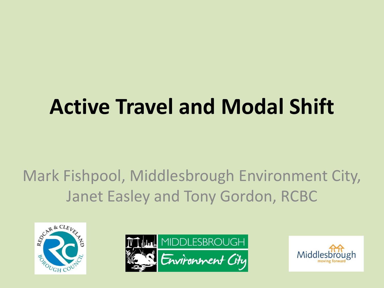### **Active Travel and Modal Shift**

#### Mark Fishpool, Middlesbrough Environment City, Janet Easley and Tony Gordon, RCBC





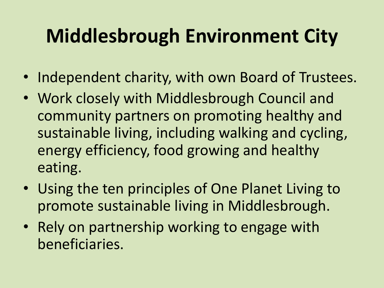#### **Middlesbrough Environment City**

- Independent charity, with own Board of Trustees.
- Work closely with Middlesbrough Council and community partners on promoting healthy and sustainable living, including walking and cycling, energy efficiency, food growing and healthy eating.
- Using the ten principles of One Planet Living to promote sustainable living in Middlesbrough.
- Rely on partnership working to engage with beneficiaries.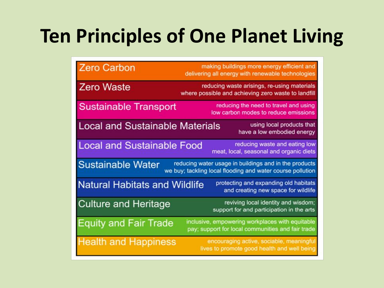#### **Ten Principles of One Planet Living**

| <b>Zero Carbon</b>                     | making buildings more energy efficient and<br>delivering all energy with renewable technologies                     |
|----------------------------------------|---------------------------------------------------------------------------------------------------------------------|
| <b>Zero Waste</b>                      | reducing waste arisings, re-using materials<br>where possible and achieving zero waste to landfill                  |
| <b>Sustainable Transport</b>           | reducing the need to travel and using<br>low carbon modes to reduce emissions                                       |
| <b>Local and Sustainable Materials</b> | using local products that<br>have a low embodied energy                                                             |
| <b>Local and Sustainable Food</b>      | reducing waste and eating low<br>meat, local, seasonal and organic diets                                            |
| <b>Sustainable Water</b>               | reducing water usage in buildings and in the products<br>we buy; tackling local flooding and water course pollution |
| <b>Natural Habitats and Wildlife</b>   | protecting and expanding old habitats<br>and creating new space for wildlife                                        |
| <b>Culture and Heritage</b>            | reviving local identity and wisdom;<br>support for and participation in the arts                                    |
| <b>Equity and Fair Trade</b>           | inclusive, empowering workplaces with equitable<br>pay; support for local communities and fair trade                |
| <b>Health and Happiness</b>            | encouraging active, sociable, meaningful<br>lives to promote good health and well being                             |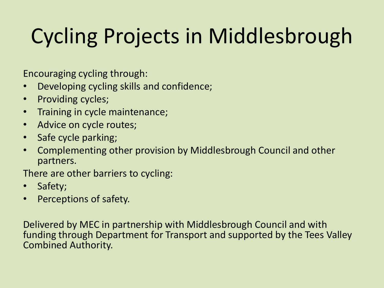# Cycling Projects in Middlesbrough

Encouraging cycling through:

- Developing cycling skills and confidence;
- Providing cycles;
- Training in cycle maintenance;
- Advice on cycle routes;
- Safe cycle parking;
- Complementing other provision by Middlesbrough Council and other partners.

There are other barriers to cycling:

- Safety;
- Perceptions of safety.

Delivered by MEC in partnership with Middlesbrough Council and with funding through Department for Transport and supported by the Tees Valley Combined Authority.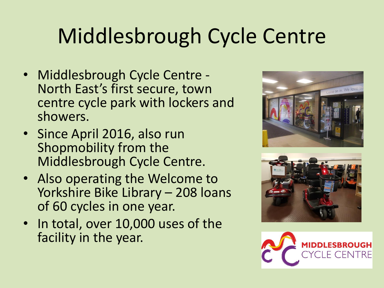### Middlesbrough Cycle Centre

- Middlesbrough Cycle Centre North East's first secure, town centre cycle park with lockers and showers.
- Since April 2016, also run Shopmobility from the Middlesbrough Cycle Centre.
- Also operating the Welcome to Yorkshire Bike Library – 208 loans of 60 cycles in one year.
- In total, over 10,000 uses of the facility in the year.





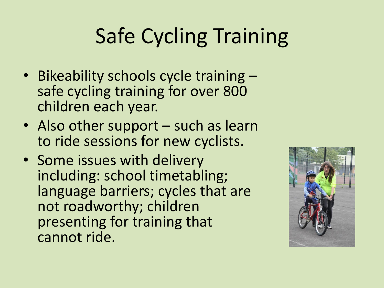## Safe Cycling Training

- Bikeability schools cycle training safe cycling training for over 800 children each year.
- Also other support such as learn to ride sessions for new cyclists.
- Some issues with delivery including: school timetabling; language barriers; cycles that are not roadworthy; children presenting for training that cannot ride.

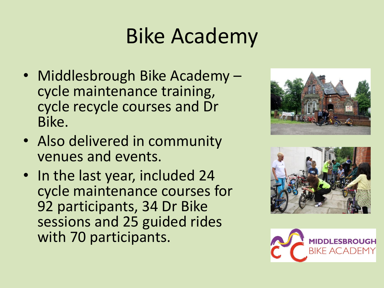### Bike Academy

- Middlesbrough Bike Academy cycle maintenance training, cycle recycle courses and Dr Bike.
- Also delivered in community venues and events.
- In the last year, included 24 cycle maintenance courses for 92 participants, 34 Dr Bike sessions and 25 guided rides with 70 participants.





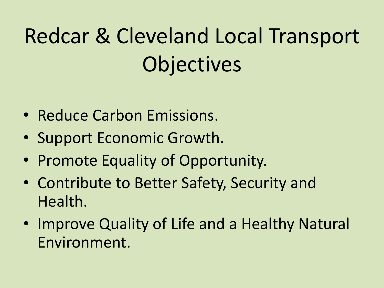# Redcar & Cleveland Local Transport **Objectives**

- Reduce Carbon Emissions.
- Support Economic Growth.
- Promote Equality of Opportunity.
- Contribute to Better Safety, Security and Health.
- Improve Quality of Life and a Healthy Natural Environment.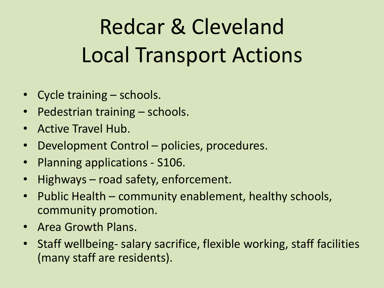# Redcar & Cleveland Local Transport Actions

- Cycle training schools.
- Pedestrian training schools.
- Active Travel Hub.
- Development Control policies, procedures.
- Planning applications S106.
- Highways road safety, enforcement.
- Public Health community enablement, healthy schools, community promotion.
- Area Growth Plans.
- Staff wellbeing- salary sacrifice, flexible working, staff facilities (many staff are residents).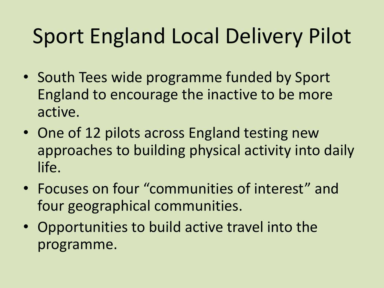### Sport England Local Delivery Pilot

- South Tees wide programme funded by Sport England to encourage the inactive to be more active.
- One of 12 pilots across England testing new approaches to building physical activity into daily life.
- Focuses on four "communities of interest" and four geographical communities.
- Opportunities to build active travel into the programme.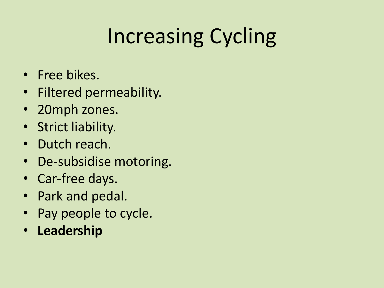# Increasing Cycling

- Free bikes.
- Filtered permeability.
- 20mph zones.
- Strict liability.
- Dutch reach.
- De-subsidise motoring.
- Car-free days.
- Park and pedal.
- Pay people to cycle.
- **Leadership**